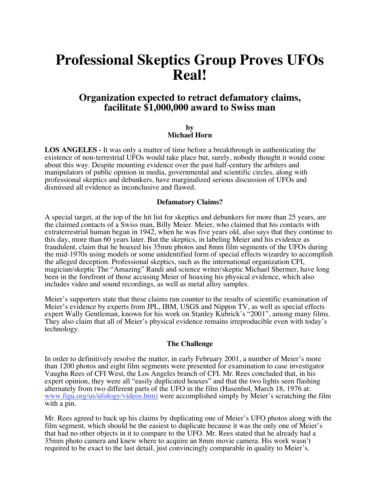# **Professional Skeptics Group Proves UFOs Real!**

# **Organization expected to retract defamatory claims, facilitate \$1,000,000 award to Swiss man**

#### **by Michael Horn**

**LOS ANGELES -** It was only a matter of time before a breakthrough in authenticating the existence of non-terrestrial UFOs would take place but, surely, nobody thought it would come about this way. Despite mounting evidence over the past half-century the arbiters and manipulators of public opinion in media, governmental and scientific circles, along with professional skeptics and debunkers, have marginalized serious discussion of UFOs and dismissed all evidence as inconclusive and flawed.

#### **Defamatory Claims?**

A special target, at the top of the hit list for skeptics and debunkers for more than 25 years, are the claimed contacts of a Swiss man, Billy Meier. Meier, who claimed that his contacts with extraterrestrial human began in 1942, when he was five years old, also says that they continue to this day, more than 60 years later. But the skeptics, in labeling Meier and his evidence as fraudulent, claim that he hoaxed his 35mm photos and 8mm film segments of the UFOs during the mid-1970s using models or some unidentified form of special effects wizardry to accomplish the alleged deception. Professional skeptics, such as the international organization CFI, magician/skeptic The "Amazing" Randi and science writer/skeptic Michael Shermer, have long been in the forefront of those accusing Meier of hoaxing his physical evidence, which also includes video and sound recordings, as well as metal alloy samples.

Meier's supporters state that these claims run counter to the results of scientific examination of Meier's evidence by experts from JPL, IBM, USGS and Nippon TV, as well as special effects expert Wally Gentleman, known for his work on Stanley Kubrick's "2001", among many films. They also claim that all of Meier's physical evidence remains irreproducible even with today's technology.

#### **The Challenge**

In order to definitively resolve the matter, in early February 2001, a number of Meier's more than 1200 photos and eight film segments were presented for examination to case investigator Vaughn Rees of CFI West, the Los Angeles branch of CFI. Mr. Rees concluded that, in his expert opinion, they were all "easily duplicated hoaxes" and that the two lights seen flashing alternately from two different parts of the UFO in the film (Hasenbol, March 18, 1976 at: www.figu.org/us/ufology/videos.htm) were accomplished simply by Meier's scratching the film with a pin.

Mr. Rees agreed to back up his claims by duplicating one of Meier's UFO photos along with the film segment, which should be the easiest to duplicate because it was the only one of Meier's that had no other objects in it to compare to the UFO. Mr. Rees stated that he already had a 35mm photo camera and knew where to acquire an 8mm movie camera. His work wasn't required to be exact to the last detail, just convincingly comparable in quality to Meier's.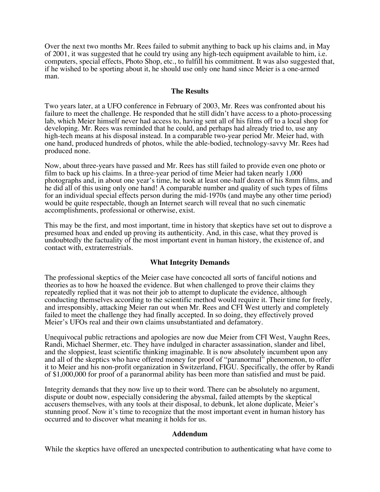Over the next two months Mr. Rees failed to submit anything to back up his claims and, in May of 2001, it was suggested that he could try using any high-tech equipment available to him, i.e. computers, special effects, Photo Shop, etc., to fulfill his commitment. It was also suggested that, if he wished to be sporting about it, he should use only one hand since Meier is a one-armed man.

#### **The Results**

Two years later, at a UFO conference in February of 2003, Mr. Rees was confronted about his failure to meet the challenge. He responded that he still didn't have access to a photo-processing lab, which Meier himself never had access to, having sent all of his films off to a local shop for developing. Mr. Rees was reminded that he could, and perhaps had already tried to, use any high-tech means at his disposal instead. In a comparable two-year period Mr. Meier had, with one hand, produced hundreds of photos, while the able-bodied, technology-savvy Mr. Rees had produced none.

Now, about three-years have passed and Mr. Rees has still failed to provide even one photo or film to back up his claims. In a three-year period of time Meier had taken nearly 1,000 photographs and, in about one year's time, he took at least one-half dozen of his 8mm films, and he did all of this using only one hand! A comparable number and quality of such types of films for an individual special effects person during the mid-1970s (and maybe any other time period) would be quite respectable, though an Internet search will reveal that no such cinematic accomplishments, professional or otherwise, exist.

This may be the first, and most important, time in history that skeptics have set out to disprove a presumed hoax and ended up proving its authenticity. And, in this case, what they proved is undoubtedly the factuality of the most important event in human history, the existence of, and contact with, extraterrestrials.

#### **What Integrity Demands**

The professional skeptics of the Meier case have concocted all sorts of fanciful notions and theories as to how he hoaxed the evidence. But when challenged to prove their claims they repeatedly replied that it was not their job to attempt to duplicate the evidence, although conducting themselves according to the scientific method would require it. Their time for freely, and irresponsibly, attacking Meier ran out when Mr. Rees and CFI West utterly and completely failed to meet the challenge they had finally accepted. In so doing, they effectively proved Meier's UFOs real and their own claims unsubstantiated and defamatory.

Unequivocal public retractions and apologies are now due Meier from CFI West, Vaughn Rees, Randi, Michael Shermer, etc. They have indulged in character assassination, slander and libel, and the sloppiest, least scientific thinking imaginable. It is now absolutely incumbent upon any and all of the skeptics who have offered money for proof of "paranormal" phenomenon, to offer it to Meier and his non-profit organization in Switzerland, FIGU. Specifically, the offer by Randi of \$1,000,000 for proof of a paranormal ability has been more than satisfied and must be paid.

Integrity demands that they now live up to their word. There can be absolutely no argument, dispute or doubt now, especially considering the abysmal, failed attempts by the skeptical accusers themselves, with any tools at their disposal, to debunk, let alone duplicate, Meier's stunning proof. Now it's time to recognize that the most important event in human history has occurred and to discover what meaning it holds for us.

#### **Addendum**

While the skeptics have offered an unexpected contribution to authenticating what have come to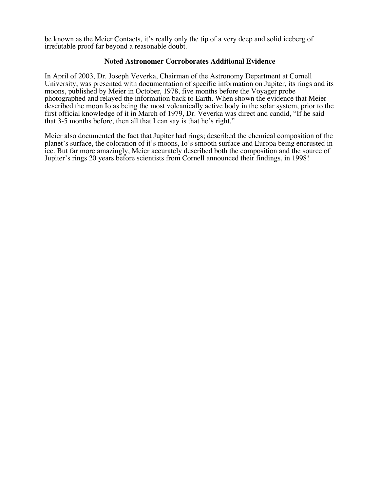be known as the Meier Contacts, it's really only the tip of a very deep and solid iceberg of irrefutable proof far beyond a reasonable doubt.

#### **Noted Astronomer Corroborates Additional Evidence**

In April of 2003, Dr. Joseph Veverka, Chairman of the Astronomy Department at Cornell University, was presented with documentation of specific information on Jupiter, its rings and its moons, published by Meier in October, 1978, five months before the Voyager probe photographed and relayed the information back to Earth. When shown the evidence that Meier described the moon Io as being the most volcanically active body in the solar system, prior to the first official knowledge of it in March of 1979, Dr. Veverka was direct and candid, "If he said that 3-5 months before, then all that I can say is that he's right."

Meier also documented the fact that Jupiter had rings; described the chemical composition of the planet's surface, the coloration of it's moons, Io's smooth surface and Europa being encrusted in ice. But far more amazingly, Meier accurately described both the composition and the source of Jupiter's rings 20 years before scientists from Cornell announced their findings, in 1998!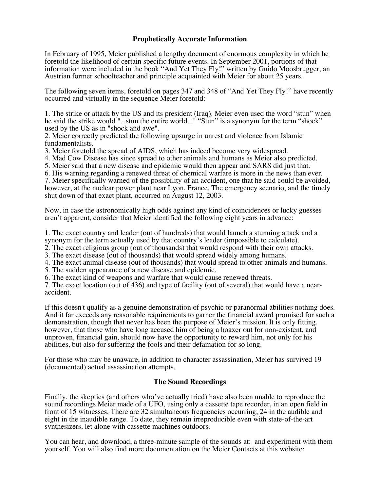### **Prophetically Accurate Information**

In February of 1995, Meier published a lengthy document of enormous complexity in which he foretold the likelihood of certain specific future events. In September 2001, portions of that information were included in the book "And Yet They Fly!" written by Guido Moosbrugger, an Austrian former schoolteacher and principle acquainted with Meier for about 25 years.

The following seven items, foretold on pages 347 and 348 of "And Yet They Fly!" have recently occurred and virtually in the sequence Meier foretold:

1. The strike or attack by the US and its president (Iraq). Meier even used the word "stun" when he said the strike would "...stun the entire world..." "Stun" is a synonym for the term "shock" used by the US as in "shock and awe".

2. Meier correctly predicted the following upsurge in unrest and violence from Islamic fundamentalists.

3. Meier foretold the spread of AIDS, which has indeed become very widespread.

4. Mad Cow Disease has since spread to other animals and humans as Meier also predicted.

5. Meier said that a new disease and epidemic would then appear and SARS did just that.

6. His warning regarding a renewed threat of chemical warfare is more in the news than ever.

7. Meier specifically warned of the possibility of an accident, one that he said could be avoided, however, at the nuclear power plant near Lyon, France. The emergency scenario, and the timely shut down of that exact plant, occurred on August 12, 2003.

Now, in case the astronomically high odds against any kind of coincidences or lucky guesses aren't apparent, consider that Meier identified the following eight years in advance:

1. The exact country and leader (out of hundreds) that would launch a stunning attack and a synonym for the term actually used by that country's leader (impossible to calculate).

2. The exact religious group (out of thousands) that would respond with their own attacks.

3. The exact disease (out of thousands) that would spread widely among humans.

4. The exact animal disease (out of thousands) that would spread to other animals and humans.

5. The sudden appearance of a new disease and epidemic.

6. The exact kind of weapons and warfare that would cause renewed threats.

7. The exact location (out of 436) and type of facility (out of several) that would have a nearaccident.

If this doesn't qualify as a genuine demonstration of psychic or paranormal abilities nothing does. And it far exceeds any reasonable requirements to garner the financial award promised for such a demonstration, though that never has been the purpose of Meier's mission. It is only fitting, however, that those who have long accused him of being a hoaxer out for non-existent, and unproven, financial gain, should now have the opportunity to reward him, not only for his abilities, but also for suffering the fools and their defamation for so long.

For those who may be unaware, in addition to character assassination, Meier has survived 19 (documented) actual assassination attempts.

#### **The Sound Recordings**

Finally, the skeptics (and others who've actually tried) have also been unable to reproduce the sound recordings Meier made of a UFO, using only a cassette tape recorder, in an open field in front of 15 witnesses. There are 32 simultaneous frequencies occurring, 24 in the audible and eight in the inaudible range. To date, they remain irreproducible even with state-of-the-art synthesizers, let alone with cassette machines outdoors.

You can hear, and download, a three-minute sample of the sounds at: and experiment with them yourself. You will also find more documentation on the Meier Contacts at this website: